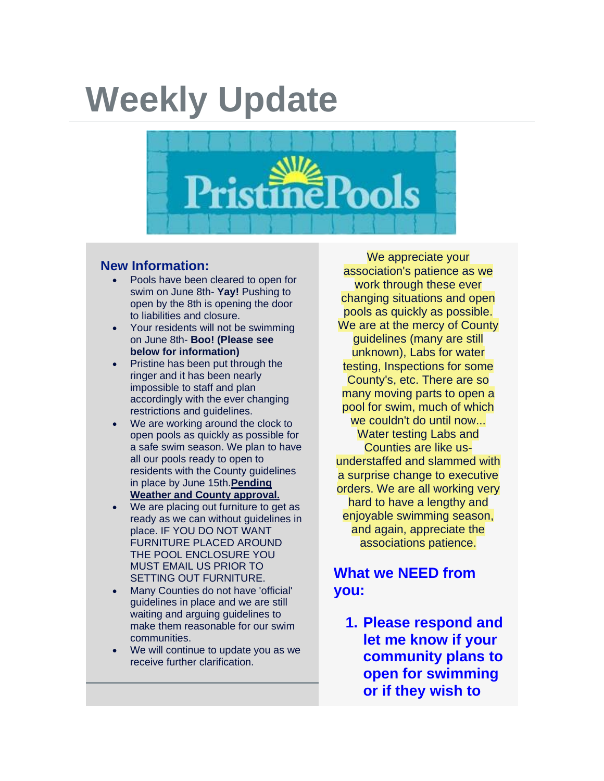## **Weekly Update**



## **New Information:**

- Pools have been cleared to open for swim on June 8th- **Yay!** Pushing to open by the 8th is opening the door to liabilities and closure.
- Your residents will not be swimming on June 8th- **Boo! (Please see below for information)**
- Pristine has been put through the ringer and it has been nearly impossible to staff and plan accordingly with the ever changing restrictions and guidelines.
- We are working around the clock to open pools as quickly as possible for a safe swim season. We plan to have all our pools ready to open to residents with the County guidelines in place by June 15th.**Pending Weather and County approval.**
- We are placing out furniture to get as ready as we can without guidelines in place. IF YOU DO NOT WANT FURNITURE PLACED AROUND THE POOL ENCLOSURE YOU MUST EMAIL US PRIOR TO SETTING OUT FURNITURE.
- Many Counties do not have 'official' guidelines in place and we are still waiting and arguing guidelines to make them reasonable for our swim communities.
- We will continue to update you as we receive further clarification.

We appreciate your association's patience as we work through these ever changing situations and open pools as quickly as possible. We are at the mercy of County guidelines (many are still unknown), Labs for water testing, Inspections for some County's, etc. There are so many moving parts to open a pool for swim, much of which we couldn't do until now... Water testing Labs and Counties are like usunderstaffed and slammed with a surprise change to executive orders. We are all working very hard to have a lengthy and enjoyable swimming season, and again, appreciate the associations patience.

## **What we NEED from you:**

**1. Please respond and let me know if your community plans to open for swimming or if they wish to**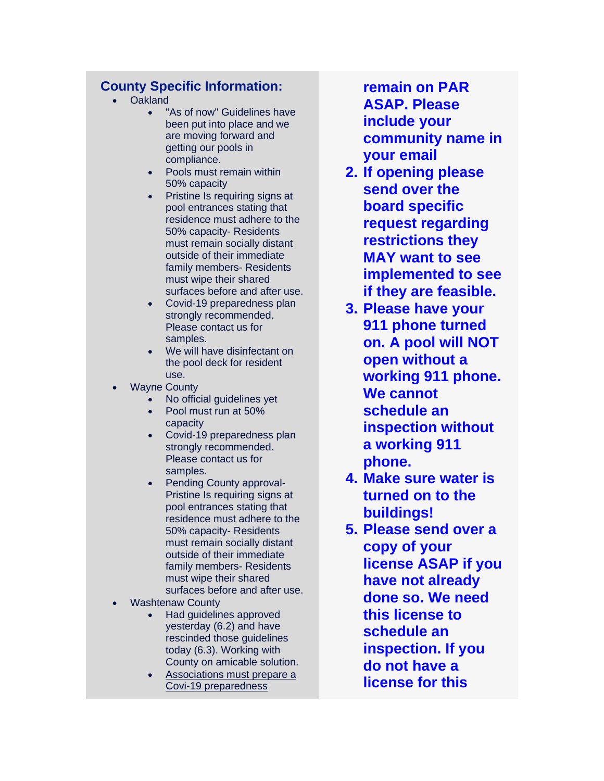## **County Specific Information:**

- Oakland
	- "As of now" Guidelines have been put into place and we are moving forward and getting our pools in compliance.
	- Pools must remain within 50% capacity
	- Pristine Is requiring signs at pool entrances stating that residence must adhere to the 50% capacity- Residents must remain socially distant outside of their immediate family members- Residents must wipe their shared surfaces before and after use.
	- Covid-19 preparedness plan strongly recommended. Please contact us for samples.
	- We will have disinfectant on the pool deck for resident use.
- **Wayne County** 
	- No official guidelines yet
	- Pool must run at 50% capacity
	- Covid-19 preparedness plan strongly recommended. Please contact us for samples.
	- Pending County approval-Pristine Is requiring signs at pool entrances stating that residence must adhere to the 50% capacity- Residents must remain socially distant outside of their immediate family members- Residents must wipe their shared surfaces before and after use.
- Washtenaw County
	- Had guidelines approved yesterday (6.2) and have rescinded those guidelines today (6.3). Working with County on amicable solution.
	- Associations must prepare a Covi-19 preparedness

**remain on PAR ASAP. Please include your community name in your email**

- **2. If opening please send over the board specific request regarding restrictions they MAY want to see implemented to see if they are feasible.**
- **3. Please have your 911 phone turned on. A pool will NOT open without a working 911 phone. We cannot schedule an inspection without a working 911 phone.**
- **4. Make sure water is turned on to the buildings!**
- **5. Please send over a copy of your license ASAP if you have not already done so. We need this license to schedule an inspection. If you do not have a license for this**